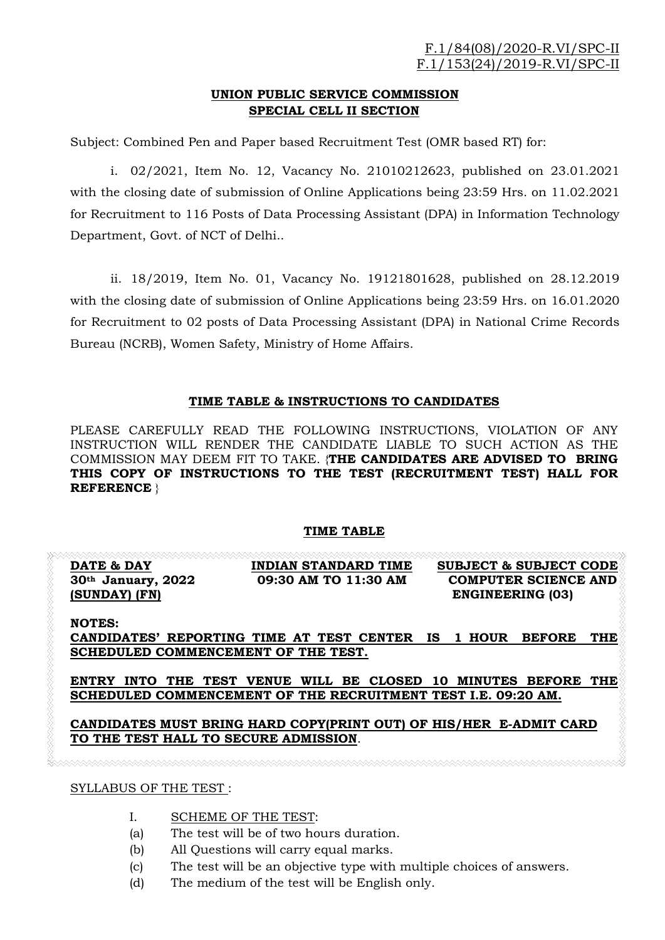# UNION PUBLIC SERVICE COMMISSION SPECIAL CELL II SECTION

Subject: Combined Pen and Paper based Recruitment Test (OMR based RT) for:

i. 02/2021, Item No. 12, Vacancy No. 21010212623, published on 23.01.2021 with the closing date of submission of Online Applications being 23:59 Hrs. on 11.02.2021 for Recruitment to 116 Posts of Data Processing Assistant (DPA) in Information Technology Department, Govt. of NCT of Delhi..

ii. 18/2019, Item No. 01, Vacancy No. 19121801628, published on 28.12.2019 with the closing date of submission of Online Applications being 23:59 Hrs. on 16.01.2020 for Recruitment to 02 posts of Data Processing Assistant (DPA) in National Crime Records Bureau (NCRB), Women Safety, Ministry of Home Affairs.

## TIME TABLE & INSTRUCTIONS TO CANDIDATES

PLEASE CAREFULLY READ THE FOLLOWING INSTRUCTIONS, VIOLATION OF ANY INSTRUCTION WILL RENDER THE CANDIDATE LIABLE TO SUCH ACTION AS THE COMMISSION MAY DEEM FIT TO TAKE. {THE CANDIDATES ARE ADVISED TO BRING THIS COPY OF INSTRUCTIONS TO THE TEST (RECRUITMENT TEST) HALL FOR REFERENCE }

# TIME TABLE

|                      |                      | <b>SUBJECT &amp; SUBJECT CODE</b> |
|----------------------|----------------------|-----------------------------------|
| $30th$ January, 2022 | 09:30 AM TO 11:30 AM | <b>COMPUTER SCIENCE AND</b>       |
| (SUNDAY) (FN)        |                      | <b>ENGINEERING (03)</b>           |

NOTES: CANDIDATES' REPORTING TIME AT TEST CENTER IS 1 HOUR BEFORE THE SCHEDULED COMMENCEMENT OF THE TEST.

ENTRY INTO THE TEST VENUE WILL BE CLOSED 10 MINUTES BEFORE THE SCHEDULED COMMENCEMENT OF THE RECRUITMENT TEST I.E. 09:20 AM.

## CANDIDATES MUST BRING HARD COPY(PRINT OUT) OF HIS/HER E-ADMIT CARD TO THE TEST HALL TO SECURE ADMISSION.

SYLLABUS OF THE TEST :

- I. SCHEME OF THE TEST:
- (a) The test will be of two hours duration.
- (b) All Questions will carry equal marks.
- (c) The test will be an objective type with multiple choices of answers.
- (d) The medium of the test will be English only.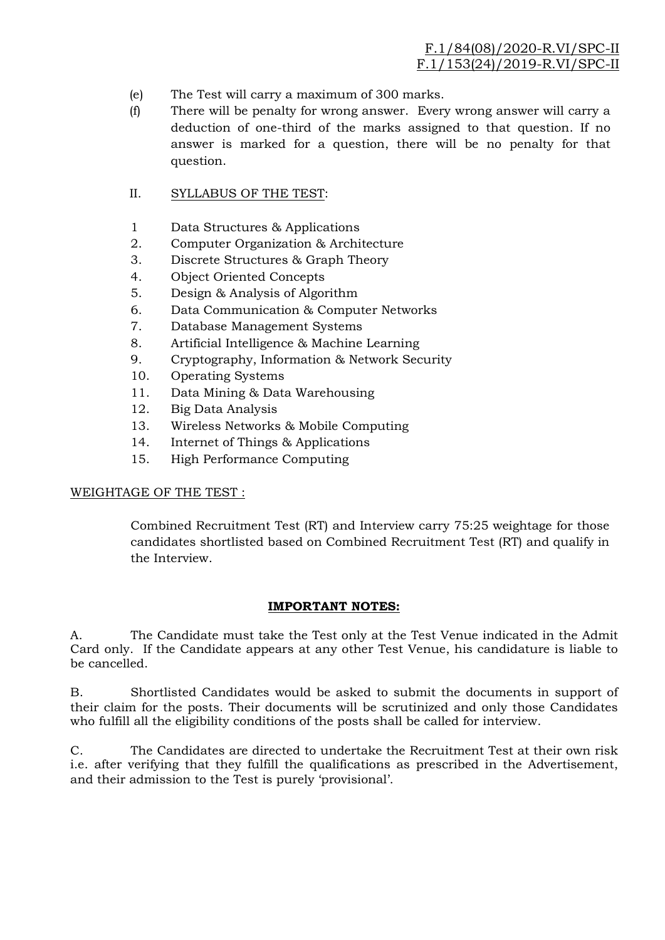- (e) The Test will carry a maximum of 300 marks.
- (f) There will be penalty for wrong answer. Every wrong answer will carry a deduction of one-third of the marks assigned to that question. If no answer is marked for a question, there will be no penalty for that question.

## II. SYLLABUS OF THE TEST:

- 1 Data Structures & Applications
- 2. Computer Organization & Architecture
- 3. Discrete Structures & Graph Theory
- 4. Object Oriented Concepts
- 5. Design & Analysis of Algorithm
- 6. Data Communication & Computer Networks
- 7. Database Management Systems
- 8. Artificial Intelligence & Machine Learning
- 9. Cryptography, Information & Network Security
- 10. Operating Systems
- 11. Data Mining & Data Warehousing
- 12. Big Data Analysis
- 13. Wireless Networks & Mobile Computing
- 14. Internet of Things & Applications
- 15. High Performance Computing

## WEIGHTAGE OF THE TEST :

Combined Recruitment Test (RT) and Interview carry 75:25 weightage for those candidates shortlisted based on Combined Recruitment Test (RT) and qualify in the Interview.

## IMPORTANT NOTES:

A. The Candidate must take the Test only at the Test Venue indicated in the Admit Card only. If the Candidate appears at any other Test Venue, his candidature is liable to be cancelled.

B. Shortlisted Candidates would be asked to submit the documents in support of their claim for the posts. Their documents will be scrutinized and only those Candidates who fulfill all the eligibility conditions of the posts shall be called for interview.

C. The Candidates are directed to undertake the Recruitment Test at their own risk i.e. after verifying that they fulfill the qualifications as prescribed in the Advertisement, and their admission to the Test is purely 'provisional'.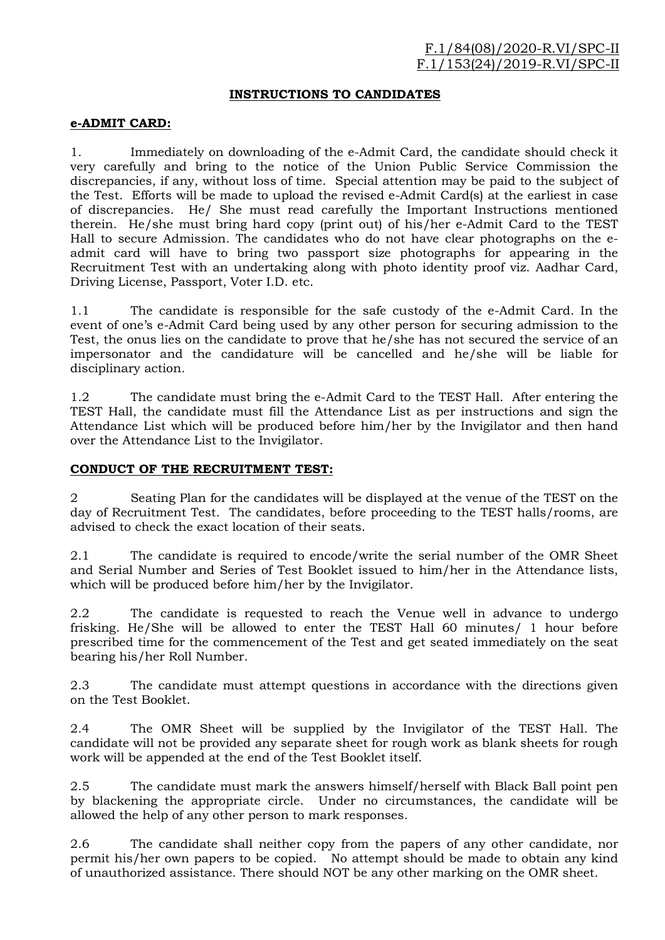#### INSTRUCTIONS TO CANDIDATES

#### e-ADMIT CARD:

1. Immediately on downloading of the e-Admit Card, the candidate should check it very carefully and bring to the notice of the Union Public Service Commission the discrepancies, if any, without loss of time. Special attention may be paid to the subject of the Test. Efforts will be made to upload the revised e-Admit Card(s) at the earliest in case of discrepancies. He/ She must read carefully the Important Instructions mentioned therein. He/she must bring hard copy (print out) of his/her e-Admit Card to the TEST Hall to secure Admission. The candidates who do not have clear photographs on the eadmit card will have to bring two passport size photographs for appearing in the Recruitment Test with an undertaking along with photo identity proof viz. Aadhar Card, Driving License, Passport, Voter I.D. etc.

1.1 The candidate is responsible for the safe custody of the e-Admit Card. In the event of one's e-Admit Card being used by any other person for securing admission to the Test, the onus lies on the candidate to prove that he/she has not secured the service of an impersonator and the candidature will be cancelled and he/she will be liable for disciplinary action.

1.2 The candidate must bring the e-Admit Card to the TEST Hall. After entering the TEST Hall, the candidate must fill the Attendance List as per instructions and sign the Attendance List which will be produced before him/her by the Invigilator and then hand over the Attendance List to the Invigilator.

#### CONDUCT OF THE RECRUITMENT TEST:

2 Seating Plan for the candidates will be displayed at the venue of the TEST on the day of Recruitment Test. The candidates, before proceeding to the TEST halls/rooms, are advised to check the exact location of their seats.

2.1 The candidate is required to encode/write the serial number of the OMR Sheet and Serial Number and Series of Test Booklet issued to him/her in the Attendance lists, which will be produced before him/her by the Invigilator.

2.2 The candidate is requested to reach the Venue well in advance to undergo frisking. He/She will be allowed to enter the TEST Hall 60 minutes/ 1 hour before prescribed time for the commencement of the Test and get seated immediately on the seat bearing his/her Roll Number.

2.3 The candidate must attempt questions in accordance with the directions given on the Test Booklet.

2.4 The OMR Sheet will be supplied by the Invigilator of the TEST Hall. The candidate will not be provided any separate sheet for rough work as blank sheets for rough work will be appended at the end of the Test Booklet itself.

2.5 The candidate must mark the answers himself/herself with Black Ball point pen by blackening the appropriate circle. Under no circumstances, the candidate will be allowed the help of any other person to mark responses.

2.6 The candidate shall neither copy from the papers of any other candidate, nor permit his/her own papers to be copied. No attempt should be made to obtain any kind of unauthorized assistance. There should NOT be any other marking on the OMR sheet.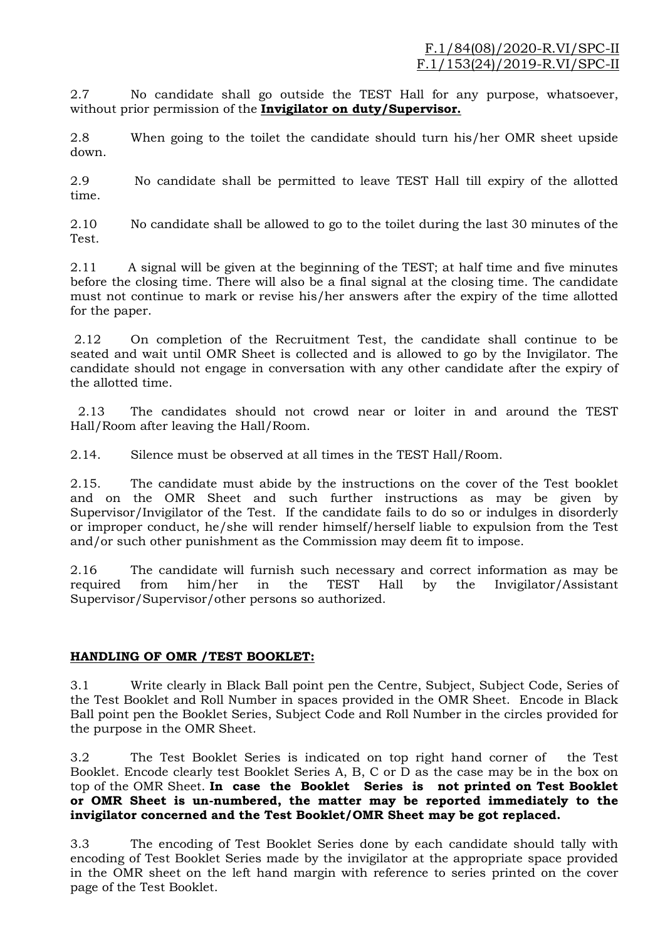2.7 No candidate shall go outside the TEST Hall for any purpose, whatsoever, without prior permission of the Invigilator on duty/Supervisor.

2.8 When going to the toilet the candidate should turn his/her OMR sheet upside down.

2.9 No candidate shall be permitted to leave TEST Hall till expiry of the allotted time.

2.10 No candidate shall be allowed to go to the toilet during the last 30 minutes of the Test.

2.11 A signal will be given at the beginning of the TEST; at half time and five minutes before the closing time. There will also be a final signal at the closing time. The candidate must not continue to mark or revise his/her answers after the expiry of the time allotted for the paper.

 2.12 On completion of the Recruitment Test, the candidate shall continue to be seated and wait until OMR Sheet is collected and is allowed to go by the Invigilator. The candidate should not engage in conversation with any other candidate after the expiry of the allotted time.

 2.13 The candidates should not crowd near or loiter in and around the TEST Hall/Room after leaving the Hall/Room.

2.14. Silence must be observed at all times in the TEST Hall/Room.

2.15. The candidate must abide by the instructions on the cover of the Test booklet and on the OMR Sheet and such further instructions as may be given by Supervisor/Invigilator of the Test. If the candidate fails to do so or indulges in disorderly or improper conduct, he/she will render himself/herself liable to expulsion from the Test and/or such other punishment as the Commission may deem fit to impose.

2.16 The candidate will furnish such necessary and correct information as may be required from him/her in the TEST Hall by the Invigilator/Assistant Supervisor/Supervisor/other persons so authorized.

# HANDLING OF OMR /TEST BOOKLET:

3.1 Write clearly in Black Ball point pen the Centre, Subject, Subject Code, Series of the Test Booklet and Roll Number in spaces provided in the OMR Sheet. Encode in Black Ball point pen the Booklet Series, Subject Code and Roll Number in the circles provided for the purpose in the OMR Sheet.

3.2 The Test Booklet Series is indicated on top right hand corner of the Test Booklet. Encode clearly test Booklet Series A, B, C or D as the case may be in the box on top of the OMR Sheet. In case the Booklet Series is not printed on Test Booklet or OMR Sheet is un-numbered, the matter may be reported immediately to the invigilator concerned and the Test Booklet/OMR Sheet may be got replaced.

3.3 The encoding of Test Booklet Series done by each candidate should tally with encoding of Test Booklet Series made by the invigilator at the appropriate space provided in the OMR sheet on the left hand margin with reference to series printed on the cover page of the Test Booklet.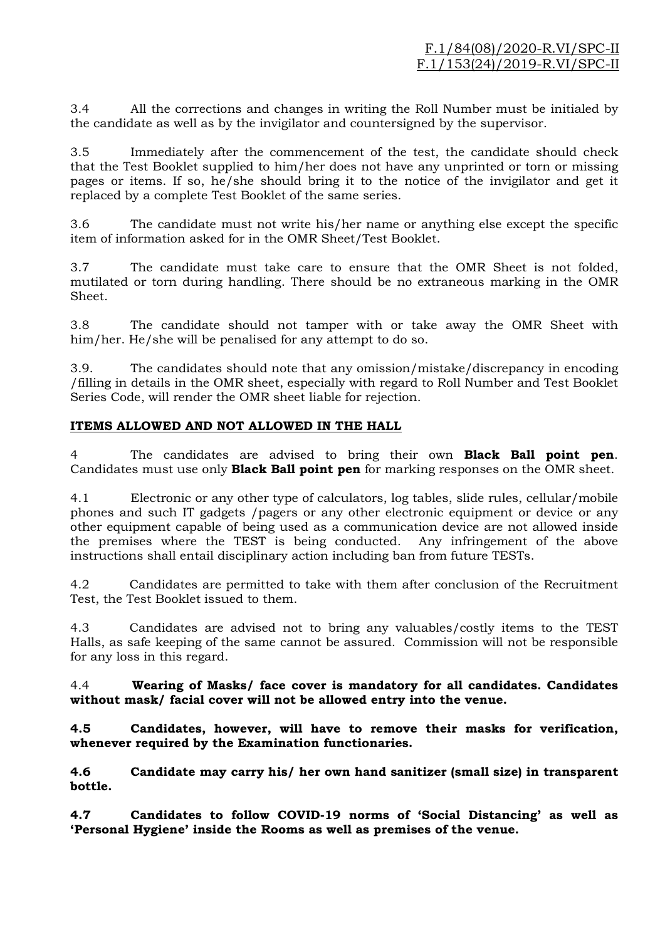3.4 All the corrections and changes in writing the Roll Number must be initialed by the candidate as well as by the invigilator and countersigned by the supervisor.

3.5 Immediately after the commencement of the test, the candidate should check that the Test Booklet supplied to him/her does not have any unprinted or torn or missing pages or items. If so, he/she should bring it to the notice of the invigilator and get it replaced by a complete Test Booklet of the same series.

3.6 The candidate must not write his/her name or anything else except the specific item of information asked for in the OMR Sheet/Test Booklet.

3.7 The candidate must take care to ensure that the OMR Sheet is not folded, mutilated or torn during handling. There should be no extraneous marking in the OMR Sheet.

3.8 The candidate should not tamper with or take away the OMR Sheet with him/her. He/she will be penalised for any attempt to do so.

3.9. The candidates should note that any omission/mistake/discrepancy in encoding /filling in details in the OMR sheet, especially with regard to Roll Number and Test Booklet Series Code, will render the OMR sheet liable for rejection.

# ITEMS ALLOWED AND NOT ALLOWED IN THE HALL

4 The candidates are advised to bring their own **Black Ball point pen**. Candidates must use only **Black Ball point pen** for marking responses on the OMR sheet.

4.1 Electronic or any other type of calculators, log tables, slide rules, cellular/mobile phones and such IT gadgets /pagers or any other electronic equipment or device or any other equipment capable of being used as a communication device are not allowed inside the premises where the TEST is being conducted. Any infringement of the above instructions shall entail disciplinary action including ban from future TESTs.

4.2 Candidates are permitted to take with them after conclusion of the Recruitment Test, the Test Booklet issued to them.

4.3 Candidates are advised not to bring any valuables/costly items to the TEST Halls, as safe keeping of the same cannot be assured. Commission will not be responsible for any loss in this regard.

4.4 Wearing of Masks/ face cover is mandatory for all candidates. Candidates without mask/ facial cover will not be allowed entry into the venue.

4.5 Candidates, however, will have to remove their masks for verification, whenever required by the Examination functionaries.

4.6 Candidate may carry his/ her own hand sanitizer (small size) in transparent bottle.

4.7 Candidates to follow COVID-19 norms of 'Social Distancing' as well as 'Personal Hygiene' inside the Rooms as well as premises of the venue.